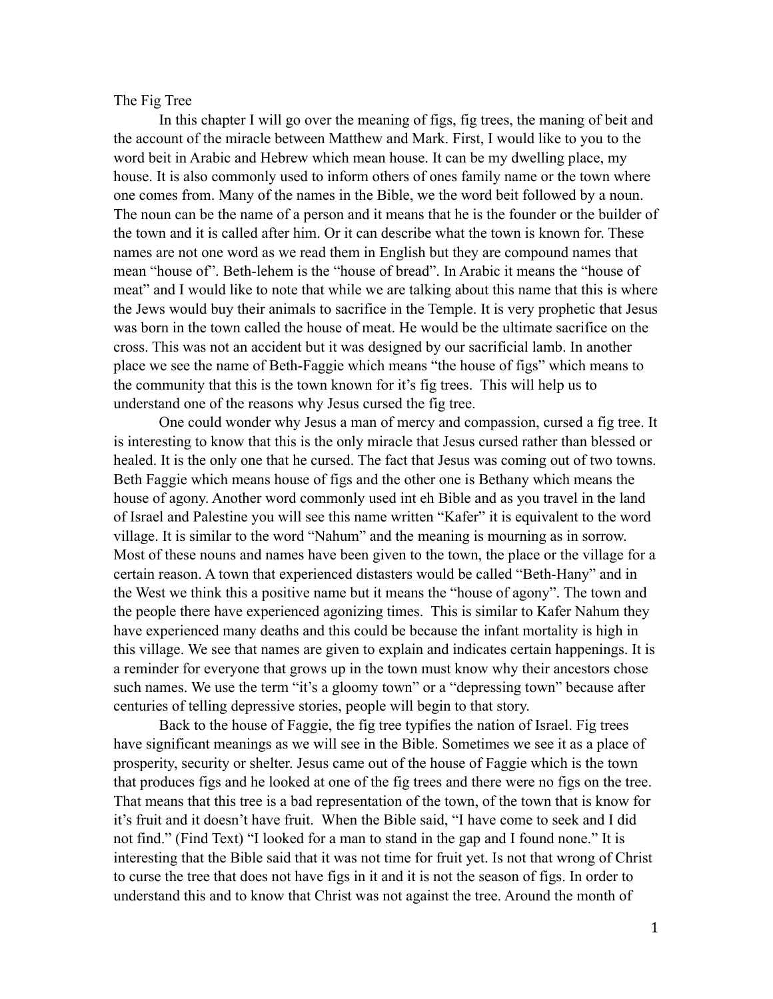## The Fig Tree

In this chapter I will go over the meaning of figs, fig trees, the maning of beit and the account of the miracle between Matthew and Mark. First, I would like to you to the word beit in Arabic and Hebrew which mean house. It can be my dwelling place, my house. It is also commonly used to inform others of ones family name or the town where one comes from. Many of the names in the Bible, we the word beit followed by a noun. The noun can be the name of a person and it means that he is the founder or the builder of the town and it is called after him. Or it can describe what the town is known for. These names are not one word as we read them in English but they are compound names that mean "house of". Beth-lehem is the "house of bread". In Arabic it means the "house of meat" and I would like to note that while we are talking about this name that this is where the Jews would buy their animals to sacrifice in the Temple. It is very prophetic that Jesus was born in the town called the house of meat. He would be the ultimate sacrifice on the cross. This was not an accident but it was designed by our sacrificial lamb. In another place we see the name of Beth-Faggie which means "the house of figs" which means to the community that this is the town known for it's fig trees. This will help us to understand one of the reasons why Jesus cursed the fig tree.

 One could wonder why Jesus a man of mercy and compassion, cursed a fig tree. It is interesting to know that this is the only miracle that Jesus cursed rather than blessed or healed. It is the only one that he cursed. The fact that Jesus was coming out of two towns. Beth Faggie which means house of figs and the other one is Bethany which means the house of agony. Another word commonly used int eh Bible and as you travel in the land of Israel and Palestine you will see this name written "Kafer" it is equivalent to the word village. It is similar to the word "Nahum" and the meaning is mourning as in sorrow. Most of these nouns and names have been given to the town, the place or the village for a certain reason. A town that experienced distasters would be called "Beth-Hany" and in the West we think this a positive name but it means the "house of agony". The town and the people there have experienced agonizing times. This is similar to Kafer Nahum they have experienced many deaths and this could be because the infant mortality is high in this village. We see that names are given to explain and indicates certain happenings. It is a reminder for everyone that grows up in the town must know why their ancestors chose such names. We use the term "it's a gloomy town" or a "depressing town" because after centuries of telling depressive stories, people will begin to that story.

 Back to the house of Faggie, the fig tree typifies the nation of Israel. Fig trees have significant meanings as we will see in the Bible. Sometimes we see it as a place of prosperity, security or shelter. Jesus came out of the house of Faggie which is the town that produces figs and he looked at one of the fig trees and there were no figs on the tree. That means that this tree is a bad representation of the town, of the town that is know for it's fruit and it doesn't have fruit. When the Bible said, "I have come to seek and I did not find." (Find Text) "I looked for a man to stand in the gap and I found none." It is interesting that the Bible said that it was not time for fruit yet. Is not that wrong of Christ to curse the tree that does not have figs in it and it is not the season of figs. In order to understand this and to know that Christ was not against the tree. Around the month of